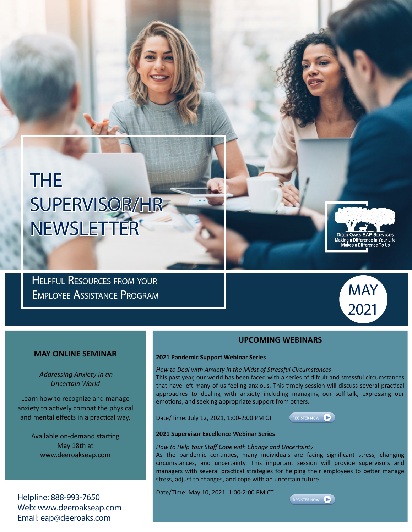# THE SUPERVISOR/HR NEWSLETTER

Helpful Resources from your Employee Assistance Program



Making a Difference in Your Life<br>Makes a Difference To Us

### **MAY ONLINE SEMINAR**

 *Addressing Anxiety in an Uncertain World*

Learn how to recognize and manage anxiety to actively combat the physical and mental effects in a practical way.

> Available on-demand starting May 18th at www.deeroakseap.com

Helpline: 888-993-7650 Web: www.deeroakseap.com Email: eap@deeroaks.com

### **UPCOMING WEBINARS**

#### **2021 Pandemic Support Webinar Series**

*How to Deal with Anxiety in the Midst of Stressful Circumstances*

This past year, our world has been faced with a series of difcult and stressful circumstances that have left many of us feeling anxious. This timely session will discuss several practical approaches to dealing with anxiety including managing our self-talk, expressing our emotions, and seeking appropriate support from others.

Date/Time: July 12, 2021, 1:00-2:00 PM CT



#### **2021 Supervisor Excellence Webinar Series**

*How to Help Your Staff Cope with Change and Uncertainty*

As the pandemic continues, many individuals are facing significant stress, changing circumstances, and uncertainty. This important session will provide supervisors and managers with several practical strategies for helping their employees to better manage stress, adjust to changes, and cope with an uncertain future.

Date/Time: May 10, 2021 1:00-2:00 PM CT

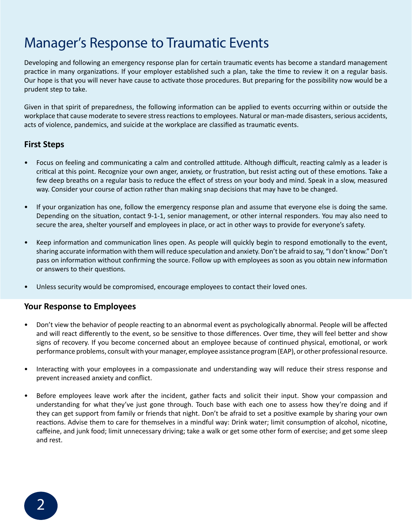# Manager's Response to Traumatic Events

Developing and following an emergency response plan for certain traumatic events has become a standard management practice in many organizations. If your employer established such a plan, take the time to review it on a regular basis. Our hope is that you will never have cause to activate those procedures. But preparing for the possibility now would be a prudent step to take.

Given in that spirit of preparedness, the following information can be applied to events occurring within or outside the workplace that cause moderate to severe stress reactions to employees. Natural or man-made disasters, serious accidents, acts of violence, pandemics, and suicide at the workplace are classified as traumatic events.

### **First Steps**

- Focus on feeling and communicating a calm and controlled attitude. Although difficult, reacting calmly as a leader is critical at this point. Recognize your own anger, anxiety, or frustration, but resist acting out of these emotions. Take a few deep breaths on a regular basis to reduce the effect of stress on your body and mind. Speak in a slow, measured way. Consider your course of action rather than making snap decisions that may have to be changed.
- If your organization has one, follow the emergency response plan and assume that everyone else is doing the same. Depending on the situation, contact 9-1-1, senior management, or other internal responders. You may also need to secure the area, shelter yourself and employees in place, or act in other ways to provide for everyone's safety.
- Keep information and communication lines open. As people will quickly begin to respond emotionally to the event, sharing accurate information with them will reduce speculation and anxiety. Don't be afraid to say, "I don't know." Don't pass on information without confirming the source. Follow up with employees as soon as you obtain new information or answers to their questions.
- Unless security would be compromised, encourage employees to contact their loved ones.

### **Your Response to Employees**

- Don't view the behavior of people reacting to an abnormal event as psychologically abnormal. People will be affected and will react differently to the event, so be sensitive to those differences. Over time, they will feel better and show signs of recovery. If you become concerned about an employee because of continued physical, emotional, or work performance problems, consult with your manager, employee assistance program (EAP), or other professional resource.
- Interacting with your employees in a compassionate and understanding way will reduce their stress response and prevent increased anxiety and conflict.
- Before employees leave work after the incident, gather facts and solicit their input. Show your compassion and understanding for what they've just gone through. Touch base with each one to assess how they're doing and if they can get support from family or friends that night. Don't be afraid to set a positive example by sharing your own reactions. Advise them to care for themselves in a mindful way: Drink water; limit consumption of alcohol, nicotine, caffeine, and junk food; limit unnecessary driving; take a walk or get some other form of exercise; and get some sleep and rest.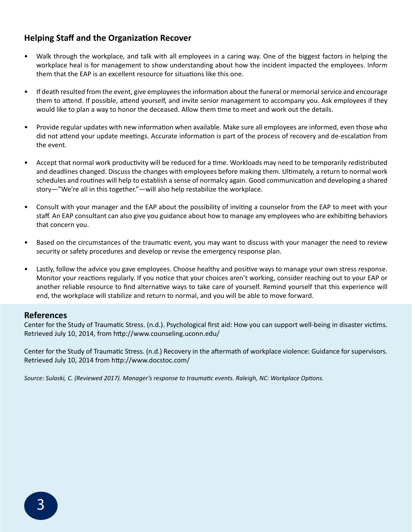## **Helping Staff and the Organization Recover**

- Walk through the workplace, and talk with all employees in a caring way. One of the biggest factors in helping the workplace heal is for management to show understanding about how the incident impacted the employees. Inform them that the EAP is an excellent resource for situations like this one.
- If death resulted from the event, give employees the information about the funeral or memorial service and encourage them to attend. If possible, attend yourself, and invite senior management to accompany you. Ask employees if they would like to plan a way to honor the deceased. Allow them time to meet and work out the details.
- Provide regular updates with new information when available. Make sure all employees are informed, even those who did not attend your update meetings. Accurate information is part of the process of recovery and de-escalation from the event.
- Accept that normal work productivity will be reduced for a time. Workloads may need to be temporarily redistributed and deadlines changed. Discuss the changes with employees before making them. Ultimately, a return to normal work schedules and routines will help to establish a sense of normalcy again. Good communication and developing a shared story—"We're all in this together."—will also help restabilize the workplace.
- Consult with your manager and the EAP about the possibility of inviting a counselor from the EAP to meet with your staff. An EAP consultant can also give you guidance about how to manage any employees who are exhibiting behaviors that concern you.
- Based on the circumstances of the traumatic event, you may want to discuss with your manager the need to review security or safety procedures and develop or revise the emergency response plan.
- Lastly, follow the advice you gave employees. Choose healthy and positive ways to manage your own stress response. Monitor your reactions regularly. If you notice that your choices aren't working, consider reaching out to your EAP or another reliable resource to find alternative ways to take care of yourself. Remind yourself that this experience will end, the workplace will stabilize and return to normal, and you will be able to move forward.

### **References**

Center for the Study of Traumatic Stress. (n.d.). Psychological first aid: How you can support well-being in disaster victims. Retrieved July 10, 2014, from http://www.counseling.uconn.edu/

Center for the Study of Traumatic Stress. (n.d.) Recovery in the aftermath of workplace violence: Guidance for supervisors. Retrieved July 10, 2014 from http://www.docstoc.com/

*Source: Sulaski, C. (Reviewed 2017). Manager's response to traumatic events. Raleigh, NC: Workplace Options.*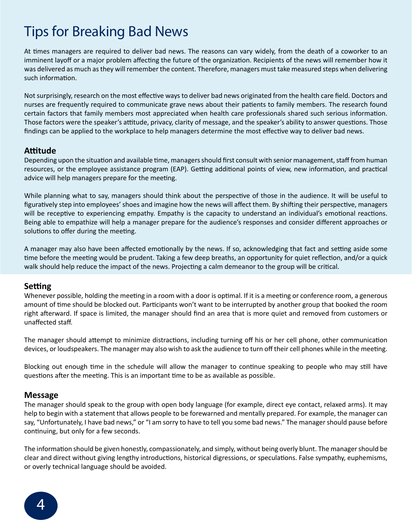# Tips for Breaking Bad News

At times managers are required to deliver bad news. The reasons can vary widely, from the death of a coworker to an imminent layoff or a major problem affecting the future of the organization. Recipients of the news will remember how it was delivered as much as they will remember the content. Therefore, managers must take measured steps when delivering such information.

Not surprisingly, research on the most effective ways to deliver bad news originated from the health care field. Doctors and nurses are frequently required to communicate grave news about their patients to family members. The research found certain factors that family members most appreciated when health care professionals shared such serious information. Those factors were the speaker's attitude, privacy, clarity of message, and the speaker's ability to answer questions. Those findings can be applied to the workplace to help managers determine the most effective way to deliver bad news.

### **Attitude**

Depending upon the situation and available time, managers should first consult with senior management, staff from human resources, or the employee assistance program (EAP). Getting additional points of view, new information, and practical advice will help managers prepare for the meeting.

While planning what to say, managers should think about the perspective of those in the audience. It will be useful to figuratively step into employees' shoes and imagine how the news will affect them. By shifting their perspective, managers will be receptive to experiencing empathy. Empathy is the capacity to understand an individual's emotional reactions. Being able to empathize will help a manager prepare for the audience's responses and consider different approaches or solutions to offer during the meeting.

A manager may also have been affected emotionally by the news. If so, acknowledging that fact and setting aside some time before the meeting would be prudent. Taking a few deep breaths, an opportunity for quiet reflection, and/or a quick walk should help reduce the impact of the news. Projecting a calm demeanor to the group will be critical.

### **Setting**

Whenever possible, holding the meeting in a room with a door is optimal. If it is a meeting or conference room, a generous amount of time should be blocked out. Participants won't want to be interrupted by another group that booked the room right afterward. If space is limited, the manager should find an area that is more quiet and removed from customers or unaffected staff.

The manager should attempt to minimize distractions, including turning off his or her cell phone, other communication devices, or loudspeakers. The manager may also wish to ask the audience to turn off their cell phones while in the meeting.

Blocking out enough time in the schedule will allow the manager to continue speaking to people who may still have questions after the meeting. This is an important time to be as available as possible.

### **Message**

The manager should speak to the group with open body language (for example, direct eye contact, relaxed arms). It may help to begin with a statement that allows people to be forewarned and mentally prepared. For example, the manager can say, "Unfortunately, I have bad news," or "I am sorry to have to tell you some bad news." The manager should pause before continuing, but only for a few seconds.

The information should be given honestly, compassionately, and simply, without being overly blunt. The manager should be clear and direct without giving lengthy introductions, historical digressions, or speculations. False sympathy, euphemisms, or overly technical language should be avoided.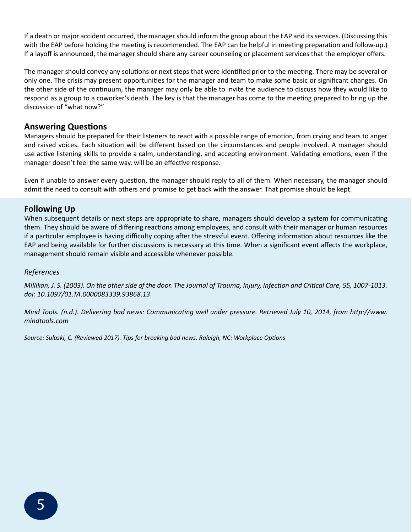If a death or major accident occurred, the manager should inform the group about the EAP and its services. (Discussing this with the EAP before holding the meeting is recommended. The EAP can be helpful in meeting preparation and follow-up.) If a layoff is announced, the manager should share any career counseling or placement services that the employer offers.

The manager should convey any solutions or next steps that were identified prior to the meeting. There may be several or only one. The crisis may present opportunities for the manager and team to make some basic or significant changes. On the other side of the continuum, the manager may only be able to invite the audience to discuss how they would like to respond as a group to a coworker's death. The key is that the manager has come to the meeting prepared to bring up the discussion of "what now?"

### **Answering Questions**

Managers should be prepared for their listeners to react with a possible range of emotion, from crying and tears to anger and raised voices. Each situation will be different based on the circumstances and people involved. A manager should use active listening skills to provide a calm, understanding, and accepting environment. Validating emotions, even if the manager doesn't feel the same way, will be an effective response.

Even if unable to answer every question, the manager should reply to all of them. When necessary, the manager should admit the need to consult with others and promise to get back with the answer. That promise should be kept.

### **Following Up**

When subsequent details or next steps are appropriate to share, managers should develop a system for communicating them. They should be aware of differing reactions among employees, and consult with their manager or human resources if a particular employee is having difficulty coping after the stressful event. Offering information about resources like the EAP and being available for further discussions is necessary at this time. When a significant event affects the workplace, management should remain visible and accessible whenever possible.

### *References*

*Millikan, J. S. (2003). On the other side of the door. The Journal of Trauma, Injury, Infection and Critical Care, 55, 1007-1013. doi: 10.1097/01.TA.0000083339.93868.13*

*Mind Tools. (n.d.). Delivering bad news: Communicating well under pressure. Retrieved July 10, 2014, from http://www. mindtools.com*

*Source: Sulaski, C. (Reviewed 2017). Tips for breaking bad news. Raleigh, NC: Workplace Options*